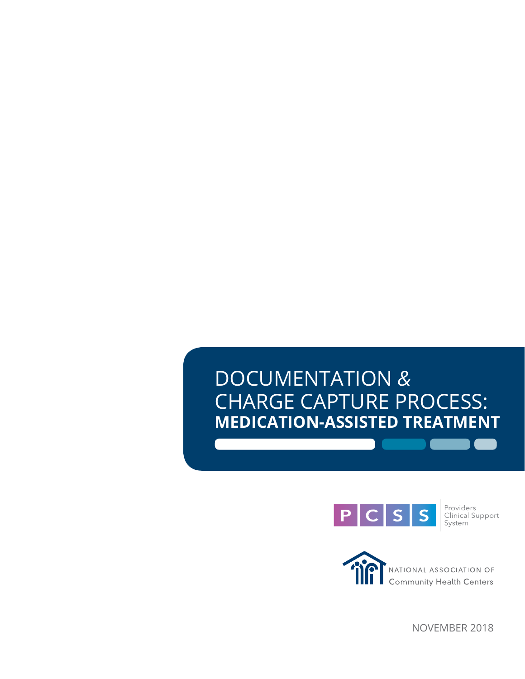# DOCUMENTATION *&* CHARGE CAPTURE PROCESS: **MEDICATION-ASSISTED TREATMENT**



Providers<br>Clinical Support<br>System



NOVEMBER 2018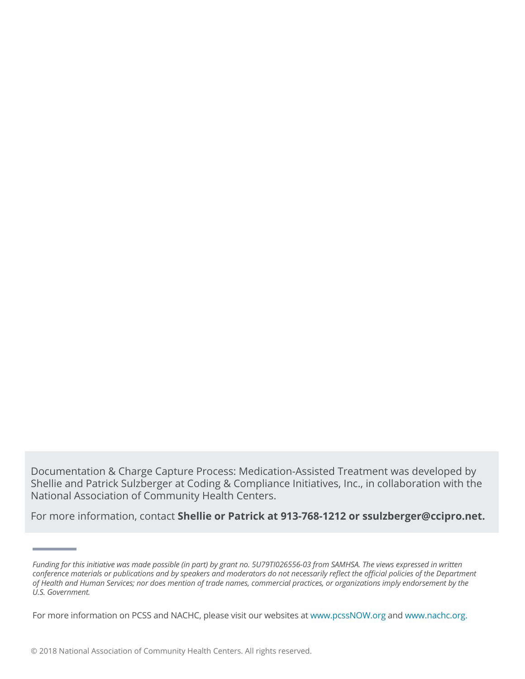Documentation & Charge Capture Process: Medication-Assisted Treatment was developed by Shellie and Patrick Sulzberger at Coding & Compliance Initiatives, Inc., in collaboration with the National Association of Community Health Centers.

For more information, contact **Shellie or Patrick at 913-768-1212 or ssulzberger@ccipro.net.**

*Funding for this initiative was made possible (in part) by grant no. 5U79TI026556-03 from SAMHSA. The views expressed in written conference materials or publications and by speakers and moderators do not necessarily reflect the official policies of the Department of Health and Human Services; nor does mention of trade names, commercial practices, or organizations imply endorsement by the U.S. Government.*

For more information on PCSS and NACHC, please visit our websites at www.pcssNOW.org and www.nachc.org.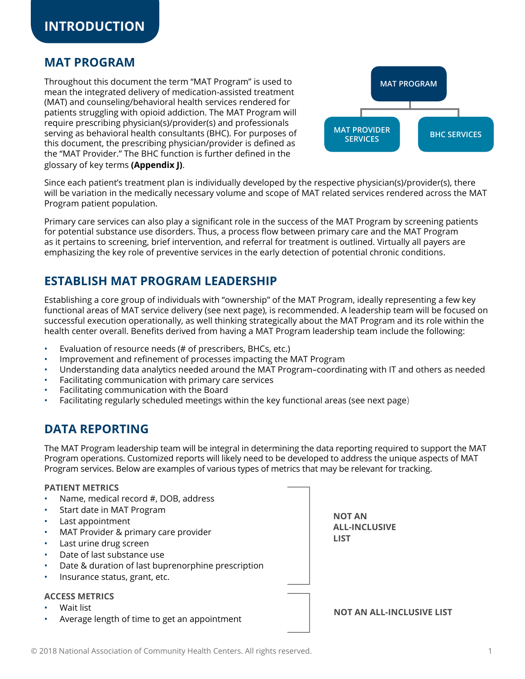### **MAT PROGRAM**

Throughout this document the term "MAT Program" is used to mean the integrated delivery of medication-assisted treatment (MAT) and counseling/behavioral health services rendered for patients struggling with opioid addiction. The MAT Program will require prescribing physician(s)/provider(s) and professionals serving as behavioral health consultants (BHC). For purposes of this document, the prescribing physician/provider is defined as the "MAT Provider." The BHC function is further defined in the glossary of key terms **(Appendix J)**.



Since each patient's treatment plan is individually developed by the respective physician(s)/provider(s), there will be variation in the medically necessary volume and scope of MAT related services rendered across the MAT Program patient population.

Primary care services can also play a significant role in the success of the MAT Program by screening patients for potential substance use disorders. Thus, a process flow between primary care and the MAT Program as it pertains to screening, brief intervention, and referral for treatment is outlined. Virtually all payers are emphasizing the key role of preventive services in the early detection of potential chronic conditions.

### **ESTABLISH MAT PROGRAM LEADERSHIP**

Establishing a core group of individuals with "ownership" of the MAT Program, ideally representing a few key functional areas of MAT service delivery (see next page), is recommended. A leadership team will be focused on successful execution operationally, as well thinking strategically about the MAT Program and its role within the health center overall. Benefits derived from having a MAT Program leadership team include the following:

- Evaluation of resource needs (# of prescribers, BHCs, etc.)
- Improvement and refinement of processes impacting the MAT Program
- Understanding data analytics needed around the MAT Program–coordinating with IT and others as needed
- Facilitating communication with primary care services
- Facilitating communication with the Board
- Facilitating regularly scheduled meetings within the key functional areas (see next page)

### **DATA REPORTING**

The MAT Program leadership team will be integral in determining the data reporting required to support the MAT Program operations. Customized reports will likely need to be developed to address the unique aspects of MAT Program services. Below are examples of various types of metrics that may be relevant for tracking.

#### **PATIENT METRICS**

- Name, medical record #, DOB, address
- Start date in MAT Program
- Last appointment
- MAT Provider & primary care provider
- Last urine drug screen
- Date of last substance use
- Date & duration of last buprenorphine prescription
- Insurance status, grant, etc.

#### **ACCESS METRICS**

- Wait list
- Average length of time to get an appointment

**NOT AN ALL-INCLUSIVE LIST**

**NOT AN ALL-INCLUSIVE LIST**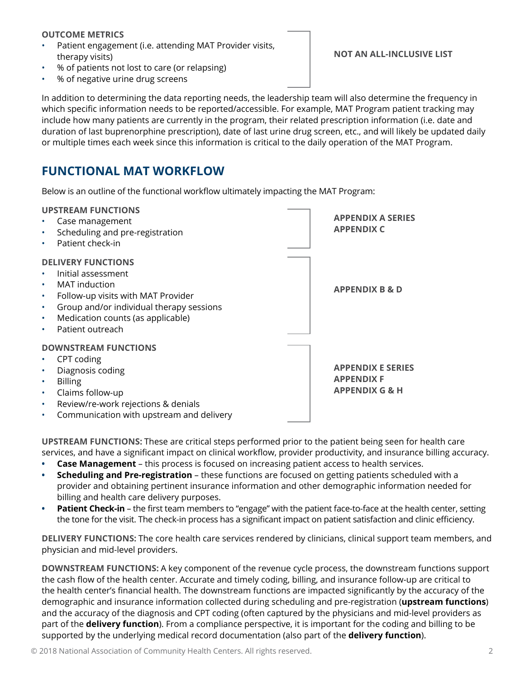#### **OUTCOME METRICS**

- Patient engagement (i.e. attending MAT Provider visits, therapy visits)
- % of patients not lost to care (or relapsing)
- % of negative urine drug screens

**NOT AN ALL-INCLUSIVE LIST**

In addition to determining the data reporting needs, the leadership team will also determine the frequency in which specific information needs to be reported/accessible. For example, MAT Program patient tracking may include how many patients are currently in the program, their related prescription information (i.e. date and duration of last buprenorphine prescription), date of last urine drug screen, etc., and will likely be updated daily or multiple times each week since this information is critical to the daily operation of the MAT Program.

# **FUNCTIONAL MAT WORKFLOW**

Below is an outline of the functional workflow ultimately impacting the MAT Program:

|           | <b>UPSTREAM FUNCTIONS</b>                |                           |
|-----------|------------------------------------------|---------------------------|
|           | Case management                          | <b>APPENDIX A SERIES</b>  |
| $\bullet$ | Scheduling and pre-registration          | <b>APPENDIX C</b>         |
| $\bullet$ | Patient check-in                         |                           |
|           | <b>DELIVERY FUNCTIONS</b>                |                           |
| ٠         | Initial assessment                       |                           |
| $\bullet$ | <b>MAT</b> induction                     | <b>APPENDIX B &amp; D</b> |
| $\bullet$ | Follow-up visits with MAT Provider       |                           |
| $\bullet$ | Group and/or individual therapy sessions |                           |
| $\bullet$ | Medication counts (as applicable)        |                           |
| $\bullet$ | Patient outreach                         |                           |
|           | <b>DOWNSTREAM FUNCTIONS</b>              |                           |
|           | CPT coding                               |                           |
| $\bullet$ | Diagnosis coding                         | <b>APPENDIX E SERIES</b>  |
| $\bullet$ | <b>Billing</b>                           | <b>APPENDIX F</b>         |
| ٠         | Claims follow-up                         | <b>APPENDIX G &amp; H</b> |
| ٠         | Review/re-work rejections & denials      |                           |
| $\bullet$ | Communication with upstream and delivery |                           |

**UPSTREAM FUNCTIONS:** These are critical steps performed prior to the patient being seen for health care services, and have a significant impact on clinical workflow, provider productivity, and insurance billing accuracy.

- **• Case Management** this process is focused on increasing patient access to health services.
- **• Scheduling and Pre-registration** these functions are focused on getting patients scheduled with a provider and obtaining pertinent insurance information and other demographic information needed for billing and health care delivery purposes.
- **• Patient Check-in** the first team members to "engage" with the patient face-to-face at the health center, setting the tone for the visit. The check-in process has a significant impact on patient satisfaction and clinic efficiency.

**DELIVERY FUNCTIONS:** The core health care services rendered by clinicians, clinical support team members, and physician and mid-level providers.

**DOWNSTREAM FUNCTIONS:** A key component of the revenue cycle process, the downstream functions support the cash flow of the health center. Accurate and timely coding, billing, and insurance follow-up are critical to the health center's financial health. The downstream functions are impacted significantly by the accuracy of the demographic and insurance information collected during scheduling and pre-registration (**upstream functions**) and the accuracy of the diagnosis and CPT coding (often captured by the physicians and mid-level providers as part of the **delivery function**). From a compliance perspective, it is important for the coding and billing to be supported by the underlying medical record documentation (also part of the **delivery function**).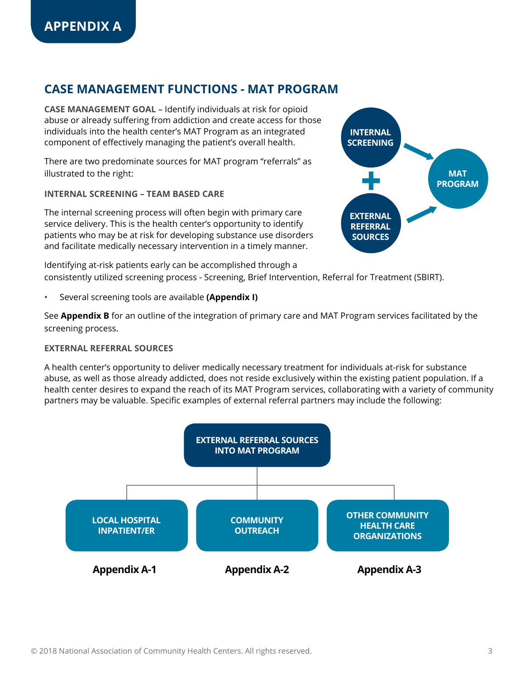### **CASE MANAGEMENT FUNCTIONS - MAT PROGRAM**

**CASE MANAGEMENT GOAL** – Identify individuals at risk for opioid abuse or already suffering from addiction and create access for those individuals into the health center's MAT Program as an integrated component of effectively managing the patient's overall health.

There are two predominate sources for MAT program "referrals" as illustrated to the right:

**INTERNAL SCREENING – TEAM BASED CARE** 

The internal screening process will often begin with primary care service delivery. This is the health center's opportunity to identify patients who may be at risk for developing substance use disorders and facilitate medically necessary intervention in a timely manner.

Identifying at-risk patients early can be accomplished through a consistently utilized screening process - Screening, Brief Intervention, Referral for Treatment (SBIRT).

• Several screening tools are available **(Appendix I)**

See **Appendix B** for an outline of the integration of primary care and MAT Program services facilitated by the screening process.

#### **EXTERNAL REFERRAL SOURCES**

A health center's opportunity to deliver medically necessary treatment for individuals at-risk for substance abuse, as well as those already addicted, does not reside exclusively within the existing patient population. If a health center desires to expand the reach of its MAT Program services, collaborating with a variety of community partners may be valuable. Specific examples of external referral partners may include the following:



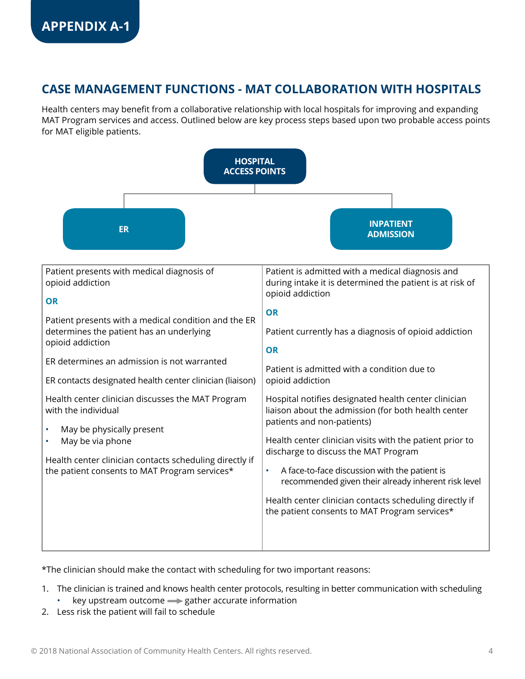# **CASE MANAGEMENT FUNCTIONS - MAT COLLABORATION WITH HOSPITALS**

Health centers may benefit from a collaborative relationship with local hospitals for improving and expanding MAT Program services and access. Outlined below are key process steps based upon two probable access points for MAT eligible patients.



\*The clinician should make the contact with scheduling for two important reasons:

- 1. The clinician is trained and knows health center protocols, resulting in better communication with scheduling
	- $key$  upstream outcome  $\Longrightarrow$  gather accurate information
- 2. Less risk the patient will fail to schedule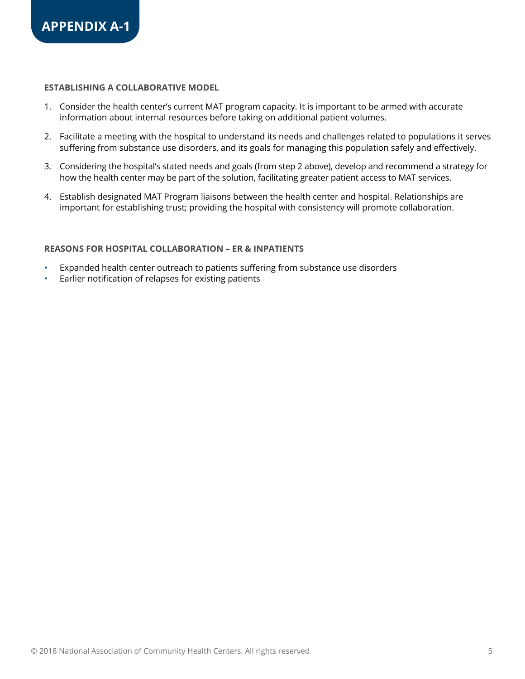#### **ESTABLISHING A COLLABORATIVE MODEL**

- 1. Consider the health center's current MAT program capacity. It is important to be armed with accurate information about internal resources before taking on additional patient volumes.
- 2. Facilitate a meeting with the hospital to understand its needs and challenges related to populations it serves suffering from substance use disorders, and its goals for managing this population safely and effectively.
- 3. Considering the hospital's stated needs and goals (from step 2 above), develop and recommend a strategy for how the health center may be part of the solution, facilitating greater patient access to MAT services.
- 4. Establish designated MAT Program liaisons between the health center and hospital. Relationships are important for establishing trust; providing the hospital with consistency will promote collaboration.

#### **REASONS FOR HOSPITAL COLLABORATION – ER & INPATIENTS**

- Expanded health center outreach to patients suffering from substance use disorders
- Earlier notification of relapses for existing patients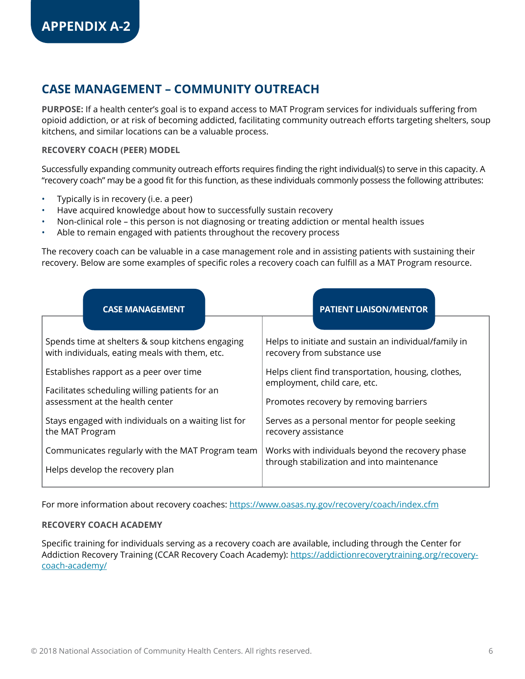### **CASE MANAGEMENT – COMMUNITY OUTREACH**

**PURPOSE:** If a health center's goal is to expand access to MAT Program services for individuals suffering from opioid addiction, or at risk of becoming addicted, facilitating community outreach efforts targeting shelters, soup kitchens, and similar locations can be a valuable process.

#### **RECOVERY COACH (PEER) MODEL**

Successfully expanding community outreach efforts requires finding the right individual(s) to serve in this capacity. A "recovery coach" may be a good fit for this function, as these individuals commonly possess the following attributes:

- Typically is in recovery (i.e. a peer)
- Have acquired knowledge about how to successfully sustain recovery
- Non-clinical role this person is not diagnosing or treating addiction or mental health issues
- Able to remain engaged with patients throughout the recovery process

The recovery coach can be valuable in a case management role and in assisting patients with sustaining their recovery. Below are some examples of specific roles a recovery coach can fulfill as a MAT Program resource.

| <b>CASE MANAGEMENT</b>                                                                             | <b>PATIENT LIAISON/MENTOR</b>                                                        |  |
|----------------------------------------------------------------------------------------------------|--------------------------------------------------------------------------------------|--|
|                                                                                                    |                                                                                      |  |
| Spends time at shelters & soup kitchens engaging<br>with individuals, eating meals with them, etc. | Helps to initiate and sustain an individual/family in<br>recovery from substance use |  |
| Establishes rapport as a peer over time                                                            | Helps client find transportation, housing, clothes,<br>employment, child care, etc.  |  |
| Facilitates scheduling willing patients for an<br>assessment at the health center                  | Promotes recovery by removing barriers                                               |  |
| Stays engaged with individuals on a waiting list for<br>the MAT Program                            | Serves as a personal mentor for people seeking<br>recovery assistance                |  |
| Communicates regularly with the MAT Program team                                                   | Works with individuals beyond the recovery phase                                     |  |
| Helps develop the recovery plan                                                                    | through stabilization and into maintenance                                           |  |

For more information about recovery coaches: <https://www.oasas.ny.gov/recovery/coach/index.cfm>

#### **RECOVERY COACH ACADEMY**

Specific training for individuals serving as a recovery coach are available, including through the Center for Addiction Recovery Training (CCAR Recovery Coach Academy): [https://addictionrecoverytraining.org/recovery](https://addictionrecoverytraining.org/recovery-coach-academy/)[coach-academy/](https://addictionrecoverytraining.org/recovery-coach-academy/)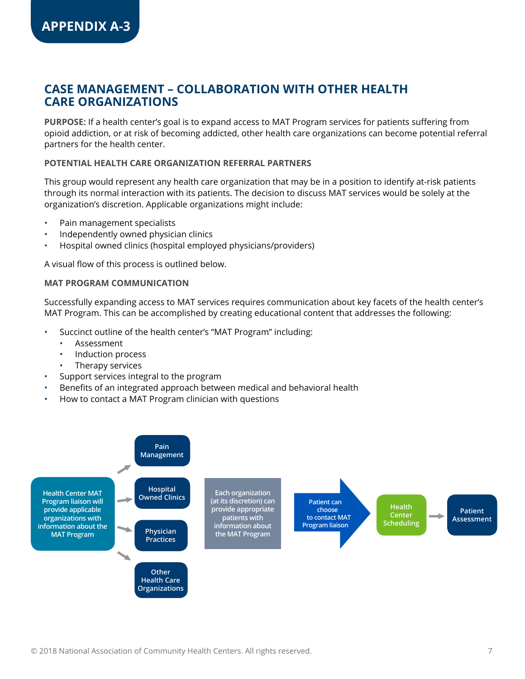### **CASE MANAGEMENT – COLLABORATION WITH OTHER HEALTH CARE ORGANIZATIONS**

**PURPOSE:** If a health center's goal is to expand access to MAT Program services for patients suffering from opioid addiction, or at risk of becoming addicted, other health care organizations can become potential referral partners for the health center.

#### **POTENTIAL HEALTH CARE ORGANIZATION REFERRAL PARTNERS**

This group would represent any health care organization that may be in a position to identify at-risk patients through its normal interaction with its patients. The decision to discuss MAT services would be solely at the organization's discretion. Applicable organizations might include:

- Pain management specialists
- Independently owned physician clinics
- Hospital owned clinics (hospital employed physicians/providers)

A visual flow of this process is outlined below.

#### **MAT PROGRAM COMMUNICATION**

Successfully expanding access to MAT services requires communication about key facets of the health center's MAT Program. This can be accomplished by creating educational content that addresses the following:

- Succinct outline of the health center's "MAT Program" including:
	- **Assessment**
	- Induction process
	- Therapy services
- Support services integral to the program
- Benefits of an integrated approach between medical and behavioral health
- How to contact a MAT Program clinician with questions

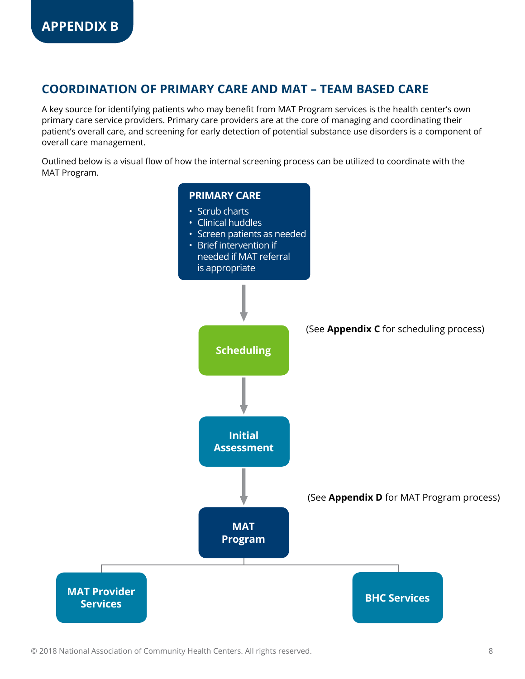### **COORDINATION OF PRIMARY CARE AND MAT – TEAM BASED CARE**

A key source for identifying patients who may benefit from MAT Program services is the health center's own primary care service providers. Primary care providers are at the core of managing and coordinating their patient's overall care, and screening for early detection of potential substance use disorders is a component of overall care management.

Outlined below is a visual flow of how the internal screening process can be utilized to coordinate with the MAT Program.

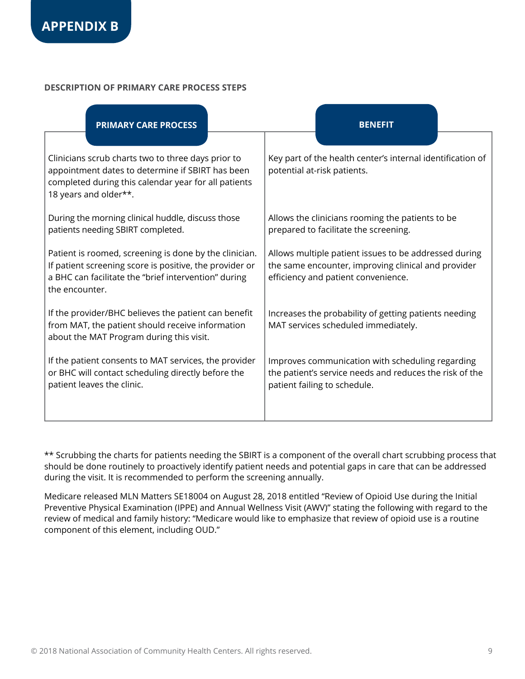#### **DESCRIPTION OF PRIMARY CARE PROCESS STEPS**

| <b>PRIMARY CARE PROCESS</b>                                                                                                                                                                 |                                                                                                                                                                                                          |                                                                                                                                                     | <b>BENEFIT</b>                                                                                                                              |  |  |  |
|---------------------------------------------------------------------------------------------------------------------------------------------------------------------------------------------|----------------------------------------------------------------------------------------------------------------------------------------------------------------------------------------------------------|-----------------------------------------------------------------------------------------------------------------------------------------------------|---------------------------------------------------------------------------------------------------------------------------------------------|--|--|--|
| Clinicians scrub charts two to three days prior to<br>appointment dates to determine if SBIRT has been<br>completed during this calendar year for all patients<br>18 years and older**.     |                                                                                                                                                                                                          |                                                                                                                                                     | Key part of the health center's internal identification of<br>potential at-risk patients.                                                   |  |  |  |
| During the morning clinical huddle, discuss those<br>patients needing SBIRT completed.                                                                                                      |                                                                                                                                                                                                          | Allows the clinicians rooming the patients to be<br>prepared to facilitate the screening.                                                           |                                                                                                                                             |  |  |  |
| Patient is roomed, screening is done by the clinician.<br>If patient screening score is positive, the provider or<br>a BHC can facilitate the "brief intervention" during<br>the encounter. |                                                                                                                                                                                                          | Allows multiple patient issues to be addressed during<br>the same encounter, improving clinical and provider<br>efficiency and patient convenience. |                                                                                                                                             |  |  |  |
| about the MAT Program during this visit.                                                                                                                                                    | If the provider/BHC believes the patient can benefit<br>Increases the probability of getting patients needing<br>from MAT, the patient should receive information<br>MAT services scheduled immediately. |                                                                                                                                                     |                                                                                                                                             |  |  |  |
| If the patient consents to MAT services, the provider<br>or BHC will contact scheduling directly before the<br>patient leaves the clinic.                                                   |                                                                                                                                                                                                          |                                                                                                                                                     | Improves communication with scheduling regarding<br>the patient's service needs and reduces the risk of the<br>patient failing to schedule. |  |  |  |

\*\* Scrubbing the charts for patients needing the SBIRT is a component of the overall chart scrubbing process that should be done routinely to proactively identify patient needs and potential gaps in care that can be addressed during the visit. It is recommended to perform the screening annually.

Medicare released MLN Matters SE18004 on August 28, 2018 entitled "Review of Opioid Use during the Initial Preventive Physical Examination (IPPE) and Annual Wellness Visit (AWV)" stating the following with regard to the review of medical and family history: "Medicare would like to emphasize that review of opioid use is a routine component of this element, including OUD."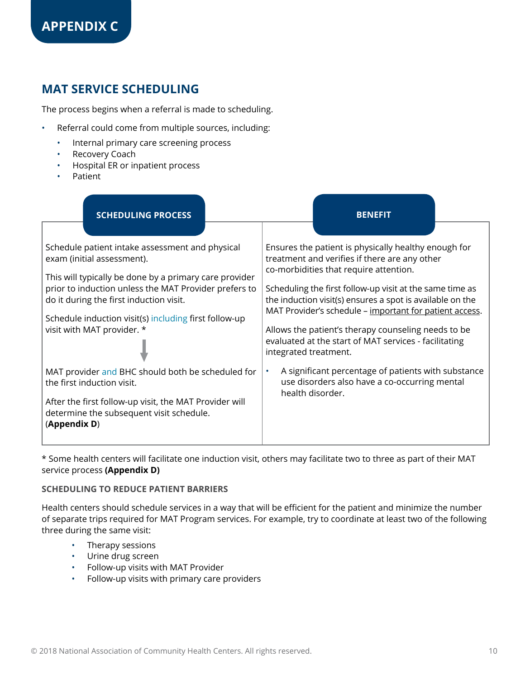# **MAT SERVICE SCHEDULING**

The process begins when a referral is made to scheduling.

- Referral could come from multiple sources, including:
	- Internal primary care screening process
	- Recovery Coach
	- Hospital ER or inpatient process
	- Patient

| <b>SCHEDULING PROCESS</b>                                                                                          | <b>BENEFIT</b>                                                                                                                                                                   |  |  |  |
|--------------------------------------------------------------------------------------------------------------------|----------------------------------------------------------------------------------------------------------------------------------------------------------------------------------|--|--|--|
| Schedule patient intake assessment and physical                                                                    | Ensures the patient is physically healthy enough for                                                                                                                             |  |  |  |
| exam (initial assessment).<br>This will typically be done by a primary care provider                               | treatment and verifies if there are any other<br>co-morbidities that require attention.                                                                                          |  |  |  |
| prior to induction unless the MAT Provider prefers to<br>do it during the first induction visit.                   | Scheduling the first follow-up visit at the same time as<br>the induction visit(s) ensures a spot is available on the<br>MAT Provider's schedule - important for patient access. |  |  |  |
| Schedule induction visit(s) including first follow-up<br>visit with MAT provider. *                                | Allows the patient's therapy counseling needs to be<br>evaluated at the start of MAT services - facilitating                                                                     |  |  |  |
|                                                                                                                    | integrated treatment.                                                                                                                                                            |  |  |  |
| MAT provider and BHC should both be scheduled for<br>the first induction visit.                                    | A significant percentage of patients with substance<br>$\bullet$<br>use disorders also have a co-occurring mental<br>health disorder.                                            |  |  |  |
| After the first follow-up visit, the MAT Provider will<br>determine the subsequent visit schedule.<br>(Appendix D) |                                                                                                                                                                                  |  |  |  |

\* Some health centers will facilitate one induction visit, others may facilitate two to three as part of their MAT service process **(Appendix D)**

#### **SCHEDULING TO REDUCE PATIENT BARRIERS**

Health centers should schedule services in a way that will be efficient for the patient and minimize the number of separate trips required for MAT Program services. For example, try to coordinate at least two of the following three during the same visit:

- Therapy sessions
- Urine drug screen
- Follow-up visits with MAT Provider
- Follow-up visits with primary care providers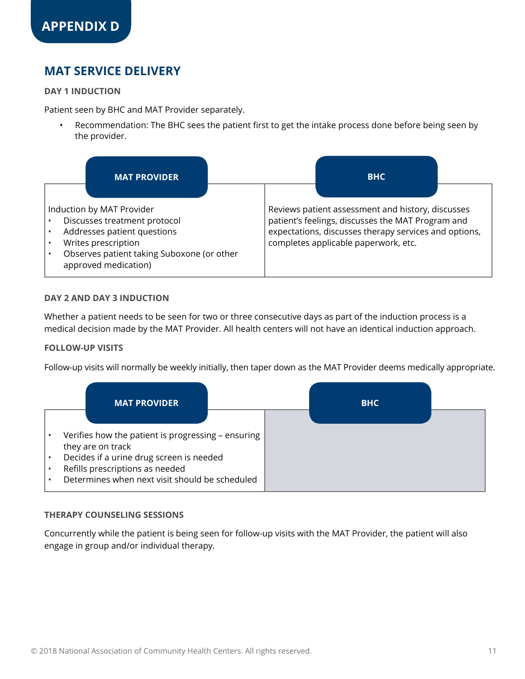# **MAT SERVICE DELIVERY**

#### **DAY 1 INDUCTION**

Patient seen by BHC and MAT Provider separately.

• Recommendation: The BHC sees the patient first to get the intake process done before being seen by the provider.

| <b>MAT PROVIDER</b>                                                                                                                                                                   | <b>BHC</b>                                                                                                                                                                                              |
|---------------------------------------------------------------------------------------------------------------------------------------------------------------------------------------|---------------------------------------------------------------------------------------------------------------------------------------------------------------------------------------------------------|
| Induction by MAT Provider<br>Discusses treatment protocol<br>Addresses patient questions<br>Writes prescription<br>Observes patient taking Suboxone (or other<br>approved medication) | Reviews patient assessment and history, discusses<br>patient's feelings, discusses the MAT Program and<br>expectations, discusses therapy services and options,<br>completes applicable paperwork, etc. |

#### **DAY 2 AND DAY 3 INDUCTION**

Whether a patient needs to be seen for two or three consecutive days as part of the induction process is a medical decision made by the MAT Provider. All health centers will not have an identical induction approach.

#### **FOLLOW-UP VISITS**

Follow-up visits will normally be weekly initially, then taper down as the MAT Provider deems medically appropriate.



#### **THERAPY COUNSELING SESSIONS**

Concurrently while the patient is being seen for follow-up visits with the MAT Provider, the patient will also engage in group and/or individual therapy.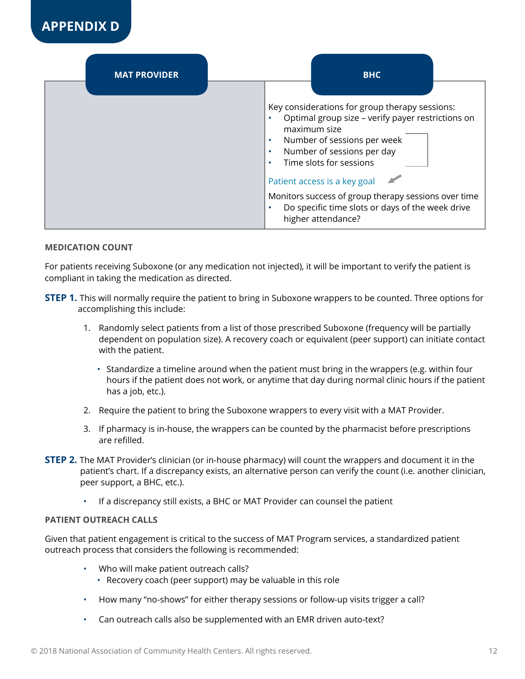

| <b>MAT PROVIDER</b> | <b>BHC</b>                                                                                                                                                                                                                                                                                                                    |
|---------------------|-------------------------------------------------------------------------------------------------------------------------------------------------------------------------------------------------------------------------------------------------------------------------------------------------------------------------------|
|                     | Key considerations for group therapy sessions:<br>Optimal group size - verify payer restrictions on<br>maximum size<br>Number of sessions per week<br>$\bullet$<br>Number of sessions per day<br>$\bullet$<br>Time slots for sessions<br>Patient access is a key goal<br>Monitors success of group therapy sessions over time |
|                     | Do specific time slots or days of the week drive<br>higher attendance?                                                                                                                                                                                                                                                        |

#### **MEDICATION COUNT**

For patients receiving Suboxone (or any medication not injected), it will be important to verify the patient is compliant in taking the medication as directed.

- **STEP 1.** This will normally require the patient to bring in Suboxone wrappers to be counted. Three options for accomplishing this include:
	- 1. Randomly select patients from a list of those prescribed Suboxone (frequency will be partially dependent on population size). A recovery coach or equivalent (peer support) can initiate contact with the patient.
		- Standardize a timeline around when the patient must bring in the wrappers (e.g. within four hours if the patient does not work, or anytime that day during normal clinic hours if the patient has a job, etc.).
	- 2. Require the patient to bring the Suboxone wrappers to every visit with a MAT Provider.
	- 3. If pharmacy is in-house, the wrappers can be counted by the pharmacist before prescriptions are refilled.
- **STEP 2.** The MAT Provider's clinician (or in-house pharmacy) will count the wrappers and document it in the patient's chart. If a discrepancy exists, an alternative person can verify the count (i.e. another clinician, peer support, a BHC, etc.).
	- If a discrepancy still exists, a BHC or MAT Provider can counsel the patient

#### **PATIENT OUTREACH CALLS**

Given that patient engagement is critical to the success of MAT Program services, a standardized patient outreach process that considers the following is recommended:

- Who will make patient outreach calls?
	- Recovery coach (peer support) may be valuable in this role
- How many "no-shows" for either therapy sessions or follow-up visits trigger a call?
- Can outreach calls also be supplemented with an EMR driven auto-text?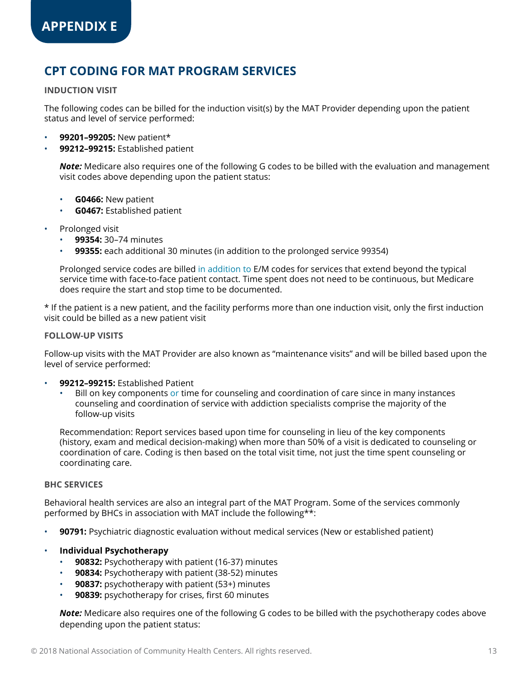# **CPT CODING FOR MAT PROGRAM SERVICES**

#### **INDUCTION VISIT**

The following codes can be billed for the induction visit(s) by the MAT Provider depending upon the patient status and level of service performed:

- **99201–99205:** New patient\*
- **99212–99215:** Established patient

*Note:* Medicare also requires one of the following G codes to be billed with the evaluation and management visit codes above depending upon the patient status:

- **G0466:** New patient
- **G0467:** Established patient
- Prolonged visit
	- **99354:** 30–74 minutes
	- **99355:** each additional 30 minutes (in addition to the prolonged service 99354)

Prolonged service codes are billed in addition to E/M codes for services that extend beyond the typical service time with face-to-face patient contact. Time spent does not need to be continuous, but Medicare does require the start and stop time to be documented.

\* If the patient is a new patient, and the facility performs more than one induction visit, only the first induction visit could be billed as a new patient visit

#### **FOLLOW-UP VISITS**

Follow-up visits with the MAT Provider are also known as "maintenance visits" and will be billed based upon the level of service performed:

- **99212–99215:** Established Patient
	- Bill on key components or time for counseling and coordination of care since in many instances counseling and coordination of service with addiction specialists comprise the majority of the follow-up visits

Recommendation: Report services based upon time for counseling in lieu of the key components (history, exam and medical decision-making) when more than 50% of a visit is dedicated to counseling or coordination of care. Coding is then based on the total visit time, not just the time spent counseling or coordinating care.

#### **BHC SERVICES**

Behavioral health services are also an integral part of the MAT Program. Some of the services commonly performed by BHCs in association with MAT include the following\*\*:

- **90791:** Psychiatric diagnostic evaluation without medical services (New or established patient)
- **Individual Psychotherapy**
	- **90832:** Psychotherapy with patient (16-37) minutes
	- **90834:** Psychotherapy with patient (38-52) minutes
	- **90837:** psychotherapy with patient (53+) minutes
	- **90839:** psychotherapy for crises, first 60 minutes

*Note:* Medicare also requires one of the following G codes to be billed with the psychotherapy codes above depending upon the patient status: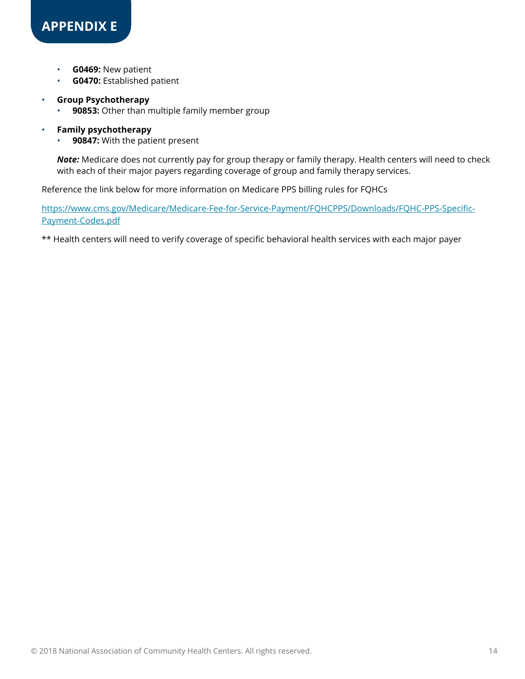- **G0469:** New patient
- **G0470:** Established patient

#### • **Group Psychotherapy**

- **90853:** Other than multiple family member group
- **Family psychotherapy**
	- **90847:** With the patient present

*Note:* Medicare does not currently pay for group therapy or family therapy. Health centers will need to check with each of their major payers regarding coverage of group and family therapy services.

Reference the link below for more information on Medicare PPS billing rules for FQHCs

[https://www.cms.gov/Medicare/Medicare-Fee-for-Service-Payment/FQHCPPS/Downloads/FQHC-PPS-Specific-](https://www.cms.gov/Medicare/Medicare-Fee-for-Service-Payment/FQHCPPS/Downloads/FQHC-PPS-Specific-Payment-Codes.pdf)[Payment-Codes.pdf](https://www.cms.gov/Medicare/Medicare-Fee-for-Service-Payment/FQHCPPS/Downloads/FQHC-PPS-Specific-Payment-Codes.pdf)

\*\* Health centers will need to verify coverage of specific behavioral health services with each major payer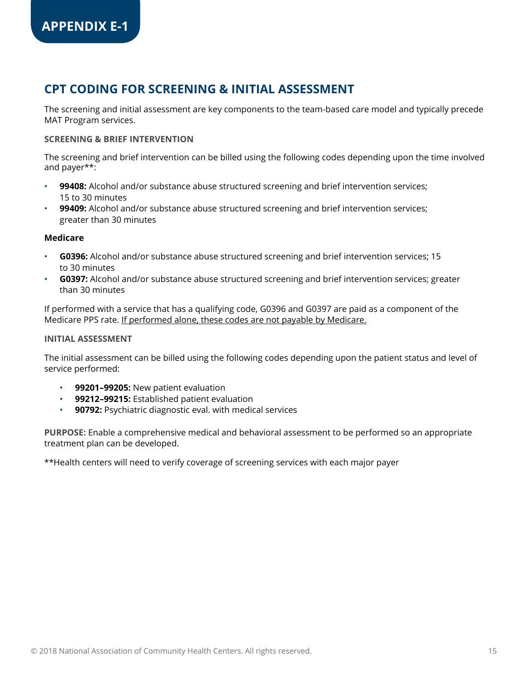# **CPT CODING FOR SCREENING & INITIAL ASSESSMENT**

The screening and initial assessment are key components to the team-based care model and typically precede MAT Program services.

#### **SCREENING & BRIEF INTERVENTION**

The screening and brief intervention can be billed using the following codes depending upon the time involved and payer\*\*:

- **99408:** Alcohol and/or substance abuse structured screening and brief intervention services; 15 to 30 minutes
- **99409:** Alcohol and/or substance abuse structured screening and brief intervention services; greater than 30 minutes

#### **Medicare**

- **G0396:** Alcohol and/or substance abuse structured screening and brief intervention services; 15 to 30 minutes
- **G0397:** Alcohol and/or substance abuse structured screening and brief intervention services; greater than 30 minutes

If performed with a service that has a qualifying code, G0396 and G0397 are paid as a component of the Medicare PPS rate. If performed alone, these codes are not payable by Medicare.

#### **INITIAL ASSESSMENT**

The initial assessment can be billed using the following codes depending upon the patient status and level of service performed:

- **99201–99205:** New patient evaluation
- **99212–99215:** Established patient evaluation
- **90792:** Psychiatric diagnostic eval. with medical services

**PURPOSE:** Enable a comprehensive medical and behavioral assessment to be performed so an appropriate treatment plan can be developed.

\*\*Health centers will need to verify coverage of screening services with each major payer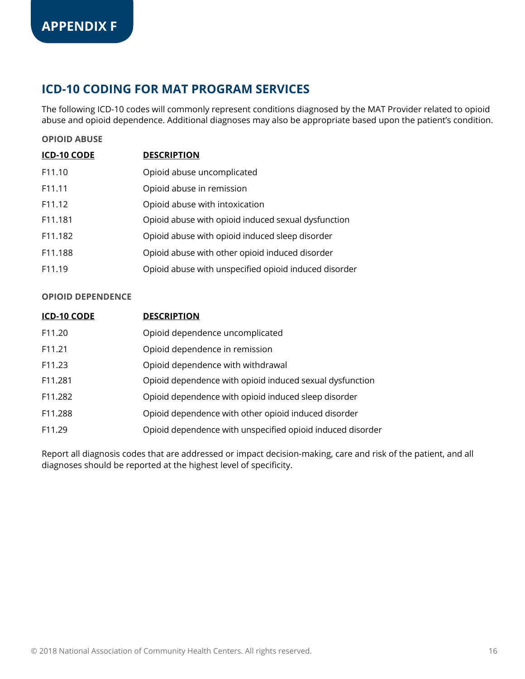# **ICD-10 CODING FOR MAT PROGRAM SERVICES**

The following ICD-10 codes will commonly represent conditions diagnosed by the MAT Provider related to opioid abuse and opioid dependence. Additional diagnoses may also be appropriate based upon the patient's condition.

#### **OPIOID ABUSE**

| <b>ICD-10 CODE</b>  | <b>DESCRIPTION</b>                                  |
|---------------------|-----------------------------------------------------|
| F11.10              | Opioid abuse uncomplicated                          |
| F <sub>11</sub> .11 | Opioid abuse in remission                           |
| F <sub>11</sub> .12 | Opioid abuse with intoxication                      |
| F11.181             | Opioid abuse with opioid induced sexual dysfunction |
| F11.182             | Opioid abuse with opioid induced sleep disorder     |

- F11.188 Opioid abuse with other opioid induced disorder
- F11.19 Opioid abuse with unspecified opioid induced disorder

#### **OPIOID DEPENDENCE**

| <b>ICD-10 CODE</b> | <b>DESCRIPTION</b>                                         |
|--------------------|------------------------------------------------------------|
| F <sub>11.20</sub> | Opioid dependence uncomplicated                            |
| F <sub>11.21</sub> | Opioid dependence in remission                             |
| F11.23             | Opioid dependence with withdrawal                          |
| F11,281            | Opioid dependence with opioid induced sexual dysfunction   |
| F11.282            | Opioid dependence with opioid induced sleep disorder       |
| F11.288            | Opioid dependence with other opioid induced disorder       |
| F11.29             | Opioid dependence with unspecified opioid induced disorder |

Report all diagnosis codes that are addressed or impact decision-making, care and risk of the patient, and all diagnoses should be reported at the highest level of specificity.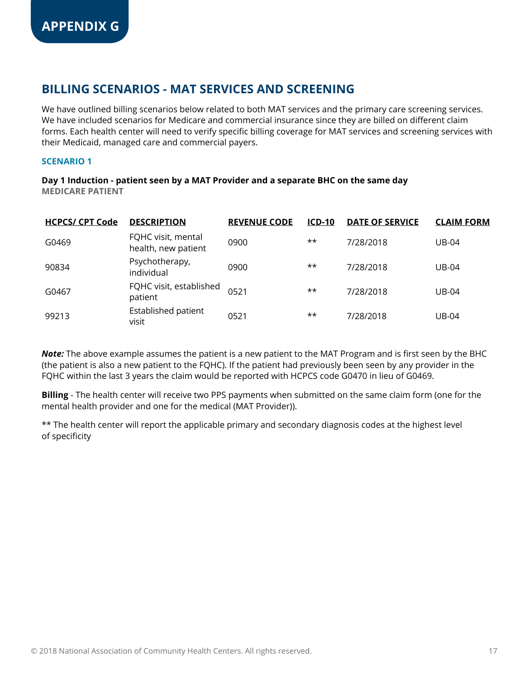We have outlined billing scenarios below related to both MAT services and the primary care screening services. We have included scenarios for Medicare and commercial insurance since they are billed on different claim forms. Each health center will need to verify specific billing coverage for MAT services and screening services with their Medicaid, managed care and commercial payers.

#### **SCENARIO 1**

**Day 1 Induction - patient seen by a MAT Provider and a separate BHC on the same day MEDICARE PATIENT**

| <b>HCPCS/ CPT Code</b> | <b>DESCRIPTION</b>                        | <b>REVENUE CODE</b> | $ICD-10$ | <b>DATE OF SERVICE</b> | <b>CLAIM FORM</b> |
|------------------------|-------------------------------------------|---------------------|----------|------------------------|-------------------|
| G0469                  | FQHC visit, mental<br>health, new patient | 0900                | **       | 7/28/2018              | <b>UB-04</b>      |
| 90834                  | Psychotherapy,<br>individual              | 0900                | **       | 7/28/2018              | <b>UB-04</b>      |
| G0467                  | FQHC visit, established<br>patient        | 0521                | **       | 7/28/2018              | $UB-04$           |
| 99213                  | Established patient<br>visit              | 0521                | **       | 7/28/2018              | <b>UB-04</b>      |

*Note:* The above example assumes the patient is a new patient to the MAT Program and is first seen by the BHC (the patient is also a new patient to the FQHC). If the patient had previously been seen by any provider in the FQHC within the last 3 years the claim would be reported with HCPCS code G0470 in lieu of G0469.

**Billing** - The health center will receive two PPS payments when submitted on the same claim form (one for the mental health provider and one for the medical (MAT Provider)).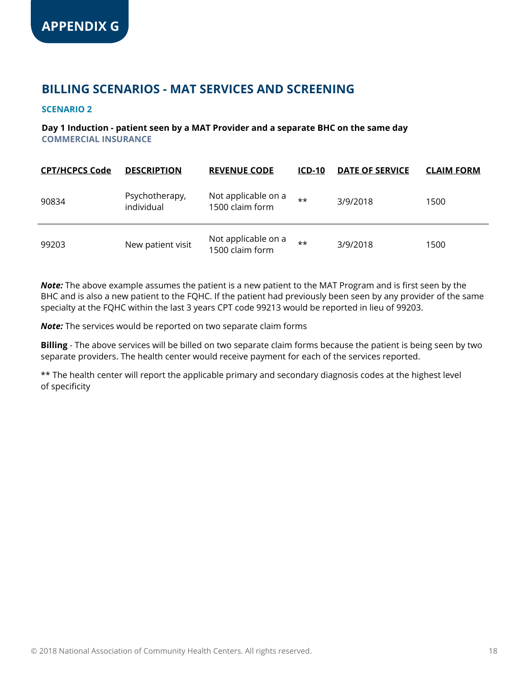#### **SCENARIO 2**

#### **Day 1 Induction - patient seen by a MAT Provider and a separate BHC on the same day COMMERCIAL INSURANCE**

| <b>CPT/HCPCS Code</b> | <b>DESCRIPTION</b>           | <b>REVENUE CODE</b>                    | $ICD-10$ | <b>DATE OF SERVICE</b> | <b>CLAIM FORM</b> |
|-----------------------|------------------------------|----------------------------------------|----------|------------------------|-------------------|
| 90834                 | Psychotherapy,<br>individual | Not applicable on a<br>1500 claim form | $***$    | 3/9/2018               | 1500              |
| 99203                 | New patient visit            | Not applicable on a<br>1500 claim form | $***$    | 3/9/2018               | 1500              |

*Note:* The above example assumes the patient is a new patient to the MAT Program and is first seen by the BHC and is also a new patient to the FQHC. If the patient had previously been seen by any provider of the same specialty at the FQHC within the last 3 years CPT code 99213 would be reported in lieu of 99203.

*Note:* The services would be reported on two separate claim forms

**Billing** - The above services will be billed on two separate claim forms because the patient is being seen by two separate providers. The health center would receive payment for each of the services reported.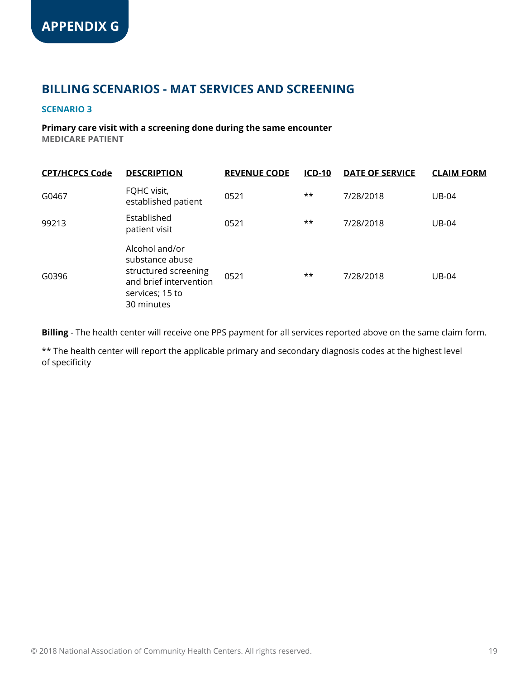#### **SCENARIO 3**

#### **Primary care visit with a screening done during the same encounter MEDICARE PATIENT**

| <b>CPT/HCPCS Code</b> | <b>DESCRIPTION</b>                                                                                                   | <b>REVENUE CODE</b> | <b>ICD-10</b> | <b>DATE OF SERVICE</b> | <b>CLAIM FORM</b> |
|-----------------------|----------------------------------------------------------------------------------------------------------------------|---------------------|---------------|------------------------|-------------------|
| G0467                 | FQHC visit,<br>established patient                                                                                   | 0521                | **            | 7/28/2018              | <b>UB-04</b>      |
| 99213                 | Established<br>patient visit                                                                                         | 0521                | **            | 7/28/2018              | <b>UB-04</b>      |
| G0396                 | Alcohol and/or<br>substance abuse<br>structured screening<br>and brief intervention<br>services; 15 to<br>30 minutes | 0521                | **            | 7/28/2018              | <b>UB-04</b>      |

**Billing** - The health center will receive one PPS payment for all services reported above on the same claim form.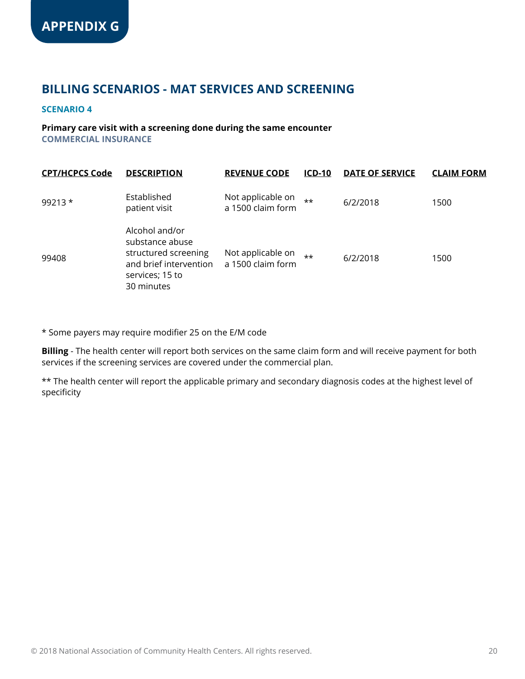#### **SCENARIO 4**

#### **Primary care visit with a screening done during the same encounter COMMERCIAL INSURANCE**

| <b>CPT/HCPCS Code</b> | <b>DESCRIPTION</b>                                                                                                   | <b>REVENUE CODE</b>                    | $ICD-10$ | <b>DATE OF SERVICE</b> | <b>CLAIM FORM</b> |
|-----------------------|----------------------------------------------------------------------------------------------------------------------|----------------------------------------|----------|------------------------|-------------------|
| $99213*$              | Established<br>patient visit                                                                                         | Not applicable on<br>a 1500 claim form | $***$    | 6/2/2018               | 1500              |
| 99408                 | Alcohol and/or<br>substance abuse<br>structured screening<br>and brief intervention<br>services; 15 to<br>30 minutes | Not applicable on<br>a 1500 claim form | $++$     | 6/2/2018               | 1500              |

\* Some payers may require modifier 25 on the E/M code

**Billing** - The health center will report both services on the same claim form and will receive payment for both services if the screening services are covered under the commercial plan.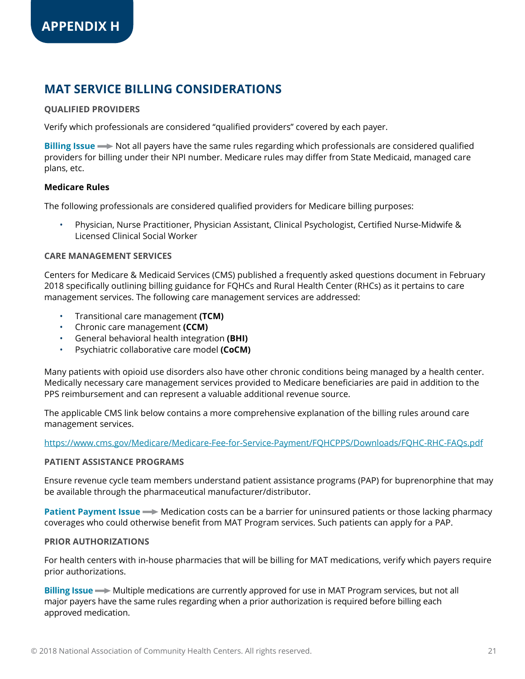# **MAT SERVICE BILLING CONSIDERATIONS**

#### **QUALIFIED PROVIDERS**

Verify which professionals are considered "qualified providers" covered by each payer.

**Billing Issue** > Not all payers have the same rules regarding which professionals are considered qualified providers for billing under their NPI number. Medicare rules may differ from State Medicaid, managed care plans, etc.

#### **Medicare Rules**

The following professionals are considered qualified providers for Medicare billing purposes:

• Physician, Nurse Practitioner, Physician Assistant, Clinical Psychologist, Certified Nurse-Midwife & Licensed Clinical Social Worker

#### **CARE MANAGEMENT SERVICES**

Centers for Medicare & Medicaid Services (CMS) published a frequently asked questions document in February 2018 specifically outlining billing guidance for FQHCs and Rural Health Center (RHCs) as it pertains to care management services. The following care management services are addressed:

- Transitional care management **(TCM)**
- Chronic care management **(CCM)**
- General behavioral health integration **(BHI)**
- Psychiatric collaborative care model **(CoCM)**

Many patients with opioid use disorders also have other chronic conditions being managed by a health center. Medically necessary care management services provided to Medicare beneficiaries are paid in addition to the PPS reimbursement and can represent a valuable additional revenue source.

The applicable CMS link below contains a more comprehensive explanation of the billing rules around care management services.

<https://www.cms.gov/Medicare/Medicare-Fee-for-Service-Payment/FQHCPPS/Downloads/FQHC-RHC-FAQs.pdf>

#### **PATIENT ASSISTANCE PROGRAMS**

Ensure revenue cycle team members understand patient assistance programs (PAP) for buprenorphine that may be available through the pharmaceutical manufacturer/distributor.

**Patient Payment Issue**  $\rightarrow$  Medication costs can be a barrier for uninsured patients or those lacking pharmacy coverages who could otherwise benefit from MAT Program services. Such patients can apply for a PAP.

#### **PRIOR AUTHORIZATIONS**

For health centers with in-house pharmacies that will be billing for MAT medications, verify which payers require prior authorizations.

**Billing Issue**  $\rightarrow$  Multiple medications are currently approved for use in MAT Program services, but not all major payers have the same rules regarding when a prior authorization is required before billing each approved medication.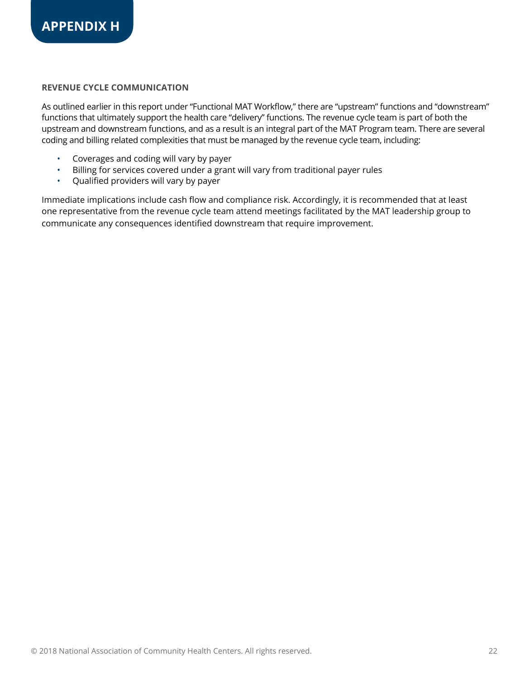#### **REVENUE CYCLE COMMUNICATION**

As outlined earlier in this report under "Functional MAT Workflow," there are "upstream" functions and "downstream" functions that ultimately support the health care "delivery" functions. The revenue cycle team is part of both the upstream and downstream functions, and as a result is an integral part of the MAT Program team. There are several coding and billing related complexities that must be managed by the revenue cycle team, including:

- Coverages and coding will vary by payer
- Billing for services covered under a grant will vary from traditional payer rules
- Qualified providers will vary by payer

Immediate implications include cash flow and compliance risk. Accordingly, it is recommended that at least one representative from the revenue cycle team attend meetings facilitated by the MAT leadership group to communicate any consequences identified downstream that require improvement.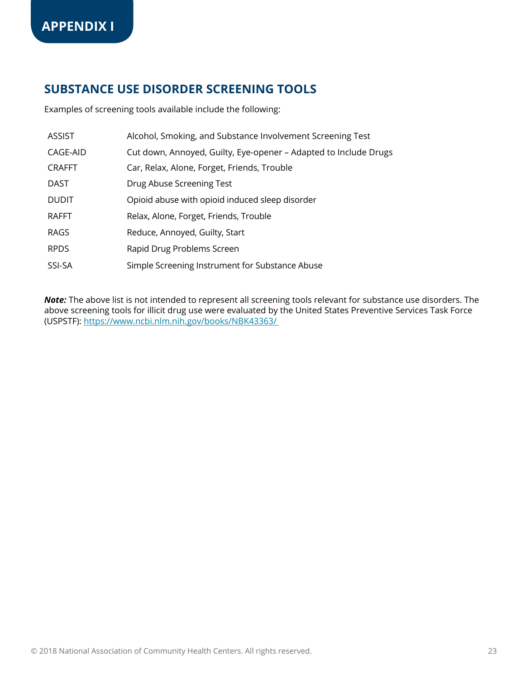### **SUBSTANCE USE DISORDER SCREENING TOOLS**

Examples of screening tools available include the following:

| <b>ASSIST</b> | Alcohol, Smoking, and Substance Involvement Screening Test       |
|---------------|------------------------------------------------------------------|
| CAGE-AID      | Cut down, Annoyed, Guilty, Eye-opener – Adapted to Include Drugs |
| <b>CRAFFT</b> | Car, Relax, Alone, Forget, Friends, Trouble                      |
| <b>DAST</b>   | Drug Abuse Screening Test                                        |
| <b>DUDIT</b>  | Opioid abuse with opioid induced sleep disorder                  |
| <b>RAFFT</b>  | Relax, Alone, Forget, Friends, Trouble                           |
| <b>RAGS</b>   | Reduce, Annoyed, Guilty, Start                                   |
| <b>RPDS</b>   | Rapid Drug Problems Screen                                       |
| SSI-SA        | Simple Screening Instrument for Substance Abuse                  |

*Note:* The above list is not intended to represent all screening tools relevant for substance use disorders. The above screening tools for illicit drug use were evaluated by the United States Preventive Services Task Force (USPSTF): <https://www.ncbi.nlm.nih.gov/books/NBK43363/>